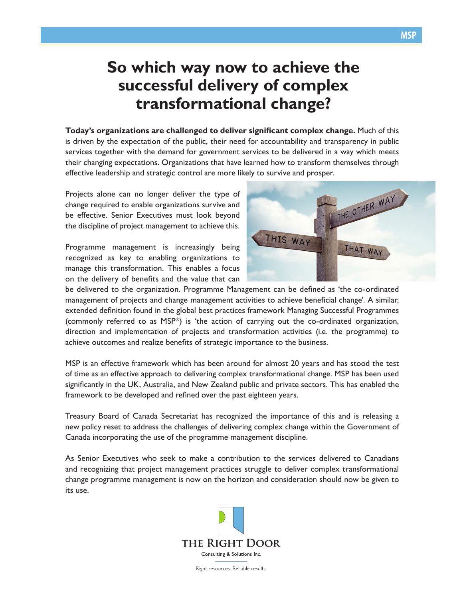## **So which way now to achieve the successful delivery of complex transformational change?**

**Today's organizations are challenged to deliver significant complex change.** Much of this is driven by the expectation of the public, their need for accountability and transparency in public services together with the demand for government services to be delivered in a way which meets their changing expectations. Organizations that have learned how to transform themselves through effective leadership and strategic control are more likely to survive and prosper.

Projects alone can no longer deliver the type of change required to enable organizations survive and be effective. Senior Executives must look beyond the discipline of project management to achieve this.

Programme management is increasingly being recognized as key to enabling organizations to manage this transformation. This enables a focus on the delivery of benefits and the value that can



be delivered to the organization. Programme Management can be defined as 'the co-ordinated management of projects and change management activities to achieve beneficial change'. A similar, extended definition found in the global best practices framework Managing Successful Programmes (commonly referred to as MSP®) is 'the action of carrying out the co-ordinated organization, direction and implementation of projects and transformation activities (i.e. the programme) to achieve outcomes and realize benefits of strategic importance to the business.

MSP is an effective framework which has been around for almost 20 years and has stood the test of time as an effective approach to delivering complex transformational change. MSP has been used significantly in the UK, Australia, and New Zealand public and private sectors. This has enabled the framework to be developed and refined over the past eighteen years.

Treasury Board of Canada Secretariat has recognized the importance of this and is releasing a new policy reset to address the challenges of delivering complex change within the Government of Canada incorporating the use of the programme management discipline.

As Senior Executives who seek to make a contribution to the services delivered to Canadians and recognizing that project management practices struggle to deliver complex transformational change programme management is now on the horizon and consideration should now be given to its use.



Right resources. Reliable results.